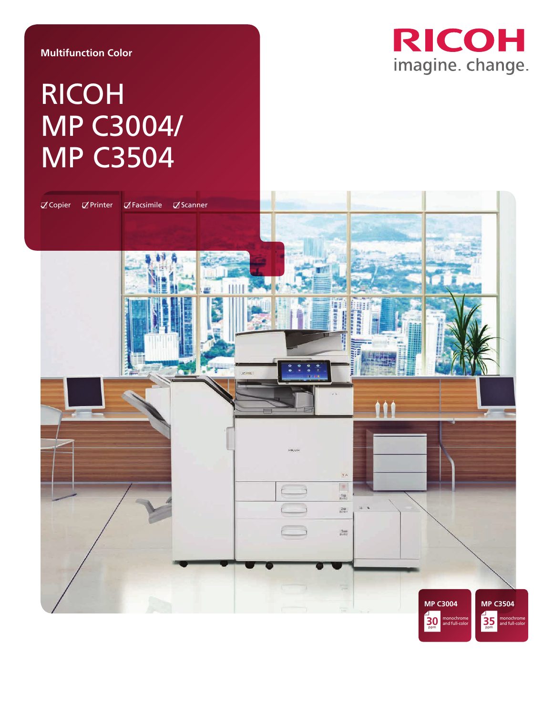#### **Multifunction Color**

## RICOH imagine. change.

# RICOH MP C3004/ MP C3504

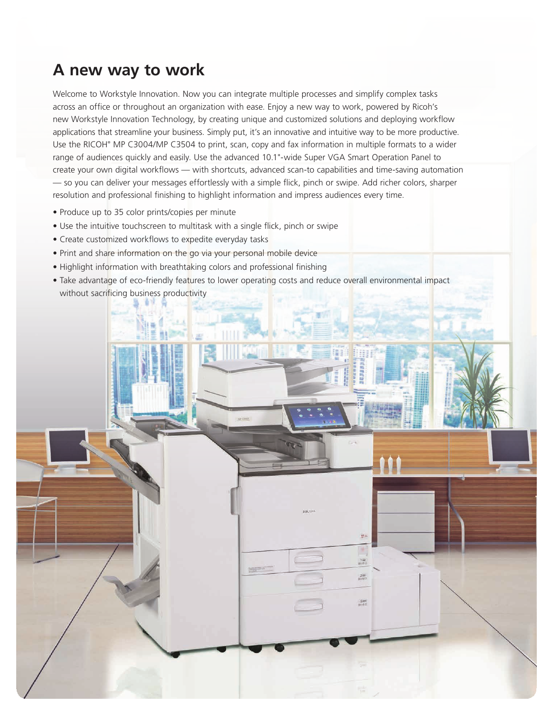### **A new way to work**

Welcome to Workstyle Innovation. Now you can integrate multiple processes and simplify complex tasks across an office or throughout an organization with ease. Enjoy a new way to work, powered by Ricoh's new Workstyle Innovation Technology, by creating unique and customized solutions and deploying workflow applications that streamline your business. Simply put, it's an innovative and intuitive way to be more productive. Use the RICOH® MP C3004/MP C3504 to print, scan, copy and fax information in multiple formats to a wider range of audiences quickly and easily. Use the advanced 10.1"-wide Super VGA Smart Operation Panel to create your own digital workflows — with shortcuts, advanced scan-to capabilities and time-saving automation — so you can deliver your messages effortlessly with a simple flick, pinch or swipe. Add richer colors, sharper resolution and professional finishing to highlight information and impress audiences every time.

- Produce up to 35 color prints/copies per minute
- Use the intuitive touchscreen to multitask with a single flick, pinch or swipe
- Create customized workflows to expedite everyday tasks
- Print and share information on the go via your personal mobile device
- Highlight information with breathtaking colors and professional finishing
- Take advantage of eco-friendly features to lower operating costs and reduce overall environmental impact without sacrificing business productivity

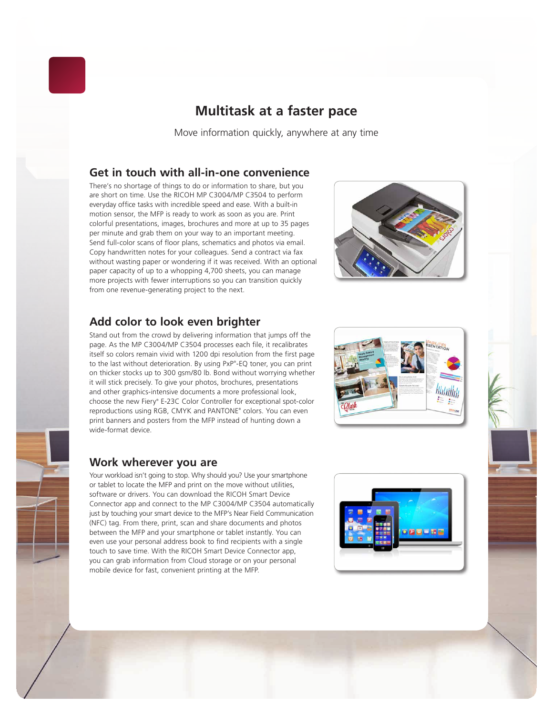

#### **Multitask at a faster pace**

Move information quickly, anywhere at any time

#### **Get in touch with all-in-one convenience**

There's no shortage of things to do or information to share, but you are short on time. Use the RICOH MP C3004/MP C3504 to perform everyday office tasks with incredible speed and ease. With a built-in motion sensor, the MFP is ready to work as soon as you are. Print colorful presentations, images, brochures and more at up to 35 pages per minute and grab them on your way to an important meeting. Send full-color scans of floor plans, schematics and photos via email. Copy handwritten notes for your colleagues. Send a contract via fax without wasting paper or wondering if it was received. With an optional paper capacity of up to a whopping 4,700 sheets, you can manage more projects with fewer interruptions so you can transition quickly from one revenue-generating project to the next.

#### **Add color to look even brighter**

Stand out from the crowd by delivering information that jumps off the page. As the MP C3004/MP C3504 processes each file, it recalibrates itself so colors remain vivid with 1200 dpi resolution from the first page to the last without deterioration. By using PxP® -EQ toner, you can print on thicker stocks up to 300 gsm/80 lb. Bond without worrying whether it will stick precisely. To give your photos, brochures, presentations and other graphics-intensive documents a more professional look, choose the new Fiery® E-23C Color Controller for exceptional spot-color reproductions using RGB, CMYK and PANTONE® colors. You can even print banners and posters from the MFP instead of hunting down a wide-format device.

#### **Work wherever you are**

Your workload isn't going to stop. Why should you? Use your smartphone or tablet to locate the MFP and print on the move without utilities, software or drivers. You can download the RICOH Smart Device Connector app and connect to the MP C3004/MP C3504 automatically just by touching your smart device to the MFP's Near Field Communication (NFC) tag. From there, print, scan and share documents and photos between the MFP and your smartphone or tablet instantly. You can even use your personal address book to find recipients with a single touch to save time. With the RICOH Smart Device Connector app, you can grab information from Cloud storage or on your personal mobile device for fast, convenient printing at the MFP.





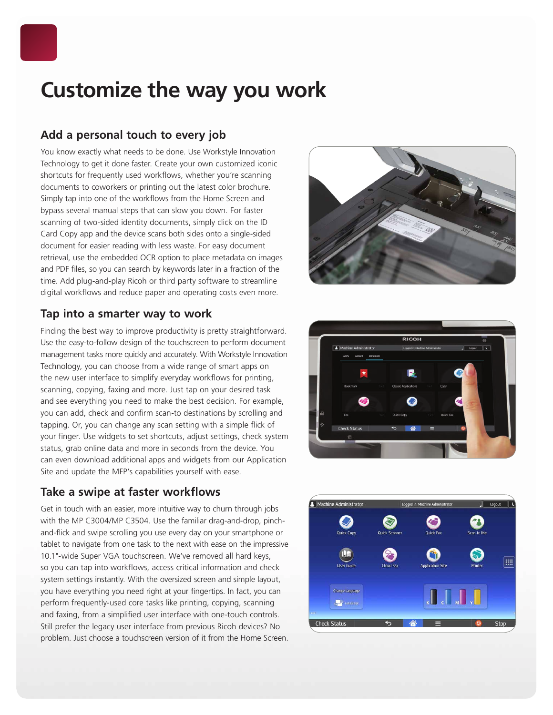

### **Customize the way you work**

#### **Add a personal touch to every job**

You know exactly what needs to be done. Use Workstyle Innovation Technology to get it done faster. Create your own customized iconic shortcuts for frequently used workflows, whether you're scanning documents to coworkers or printing out the latest color brochure. Simply tap into one of the workflows from the Home Screen and bypass several manual steps that can slow you down. For faster scanning of two-sided identity documents, simply click on the ID Card Copy app and the device scans both sides onto a single-sided document for easier reading with less waste. For easy document retrieval, use the embedded OCR option to place metadata on images and PDF files, so you can search by keywords later in a fraction of the time. Add plug-and-play Ricoh or third party software to streamline digital workflows and reduce paper and operating costs even more.

#### **Tap into a smarter way to work**

Finding the best way to improve productivity is pretty straightforward. Use the easy-to-follow design of the touchscreen to perform document management tasks more quickly and accurately. With Workstyle Innovation Technology, you can choose from a wide range of smart apps on the new user interface to simplify everyday workflows for printing, scanning, copying, faxing and more. Just tap on your desired task and see everything you need to make the best decision. For example, you can add, check and confirm scan-to destinations by scrolling and tapping. Or, you can change any scan setting with a simple flick of your finger. Use widgets to set shortcuts, adjust settings, check system status, grab online data and more in seconds from the device. You can even download additional apps and widgets from our Application Site and update the MFP's capabilities yourself with ease.

#### **Take a swipe at faster workflows**

Get in touch with an easier, more intuitive way to churn through jobs with the MP C3004/MP C3504. Use the familiar drag-and-drop, pinchand-flick and swipe scrolling you use every day on your smartphone or tablet to navigate from one task to the next with ease on the impressive 10.1"-wide Super VGA touchscreen. We've removed all hard keys, so you can tap into workflows, access critical information and check system settings instantly. With the oversized screen and simple layout, you have everything you need right at your fingertips. In fact, you can perform frequently-used core tasks like printing, copying, scanning and faxing, from a simplified user interface with one-touch controls. Still prefer the legacy user interface from previous Ricoh devices? No problem. Just choose a touchscreen version of it from the Home Screen.





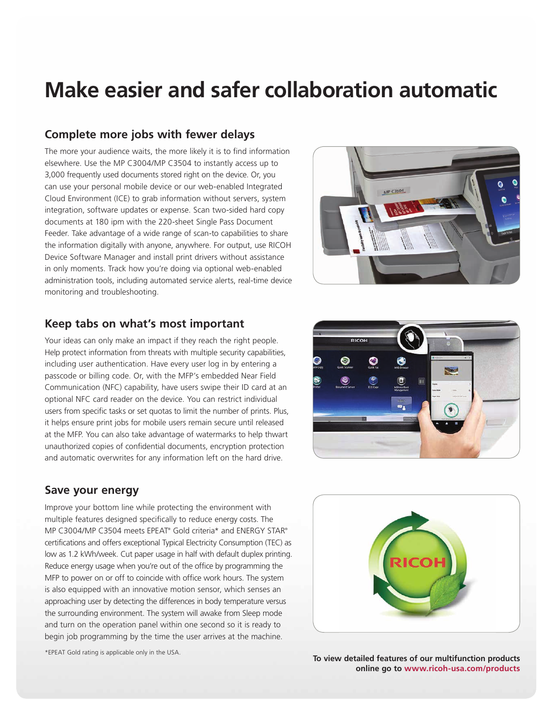### **Make easier and safer collaboration automatic**

#### **Complete more jobs with fewer delays**

The more your audience waits, the more likely it is to find information elsewhere. Use the MP C3004/MP C3504 to instantly access up to 3,000 frequently used documents stored right on the device. Or, you can use your personal mobile device or our web-enabled Integrated Cloud Environment (ICE) to grab information without servers, system integration, software updates or expense. Scan two-sided hard copy documents at 180 ipm with the 220-sheet Single Pass Document Feeder. Take advantage of a wide range of scan-to capabilities to share the information digitally with anyone, anywhere. For output, use RICOH Device Software Manager and install print drivers without assistance in only moments. Track how you're doing via optional web-enabled administration tools, including automated service alerts, real-time device monitoring and troubleshooting.



#### **Keep tabs on what's most important**

Your ideas can only make an impact if they reach the right people. Help protect information from threats with multiple security capabilities, including user authentication. Have every user log in by entering a passcode or billing code. Or, with the MFP's embedded Near Field Communication (NFC) capability, have users swipe their ID card at an optional NFC card reader on the device. You can restrict individual users from specific tasks or set quotas to limit the number of prints. Plus, it helps ensure print jobs for mobile users remain secure until released at the MFP. You can also take advantage of watermarks to help thwart unauthorized copies of confidential documents, encryption protection and automatic overwrites for any information left on the hard drive.

#### **Save your energy**

Improve your bottom line while protecting the environment with multiple features designed specifically to reduce energy costs. The MP C3004/MP C3504 meets EPEAT® Gold criteria\* and ENERGY STAR® certifications and offers exceptional Typical Electricity Consumption (TEC) as low as 1.2 kWh/week. Cut paper usage in half with default duplex printing. Reduce energy usage when you're out of the office by programming the MFP to power on or off to coincide with office work hours. The system is also equipped with an innovative motion sensor, which senses an approaching user by detecting the differences in body temperature versus the surrounding environment. The system will awake from Sleep mode and turn on the operation panel within one second so it is ready to begin job programming by the time the user arrives at the machine.





**To view detailed features of our multifunction products online go to www.ricoh-usa.com/products**

\*EPEAT Gold rating is applicable only in the USA.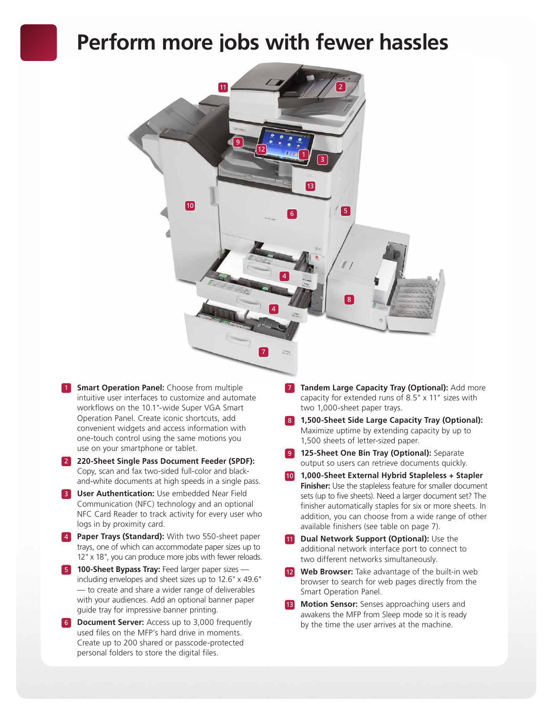### **Perform more jobs with fewer hassles**



- **1 Smart Operation Panel:** Choose from multiple intuitive user interfaces to customize and automate workflows on the 10.1"-wide Super VGA Smart Operation Panel. Create iconic shortcuts, add convenient widgets and access information with one-touch control using the same motions you use on your smartphone or tablet.
- 2 **220-Sheet Single Pass Document Feeder (SPDF):** Copy, scan and fax two-sided full-color and blackand-white documents at high speeds in a single pass.
- **3 User Authentication:** Use embedded Near Field Communication (NFC) technology and an optional NFC Card Reader to track activity for every user who logs in by proximity card.
- 4 **Paper Trays (Standard):** With two 550-sheet paper trays, one of which can accommodate paper sizes up to 12" x 18", you can produce more jobs with fewer reloads.
- **5 100-Sheet Bypass Tray:** Feed larger paper sizes including envelopes and sheet sizes up to 12.6" x 49.6" — to create and share a wider range of deliverables with your audiences. Add an optional banner paper guide tray for impressive banner printing.
- **6 Document Server:** Access up to 3,000 frequently used files on the MFP's hard drive in moments. Create up to 200 shared or passcode-protected personal folders to store the digital files.
- **7 Tandem Large Capacity Tray (Optional): Add more** capacity for extended runs of 8.5" x 11" sizes with two 1,000-sheet paper trays.
- 8 **1,500-Sheet Side Large Capacity Tray (Optional):** Maximize uptime by extending capacity by up to 1,500 sheets of letter-sized paper.
- **9 125-Sheet One Bin Tray (Optional):** Separate output so users can retrieve documents quickly.
- 10 **1,000-Sheet External Hybrid Stapleless + Stapler Finisher:** Use the stapleless feature for smaller document sets (up to five sheets). Need a larger document set? The finisher automatically staples for six or more sheets. In addition, you can choose from a wide range of other available finishers (see table on page 7).
- **11 Dual Network Support (Optional):** Use the additional network interface port to connect to two different networks simultaneously.
- Web Browser: Take advantage of the built-in web browser to search for web pages directly from the Smart Operation Panel.
- Motion Sensor: Senses approaching users and awakens the MFP from Sleep mode so it is ready by the time the user arrives at the machine.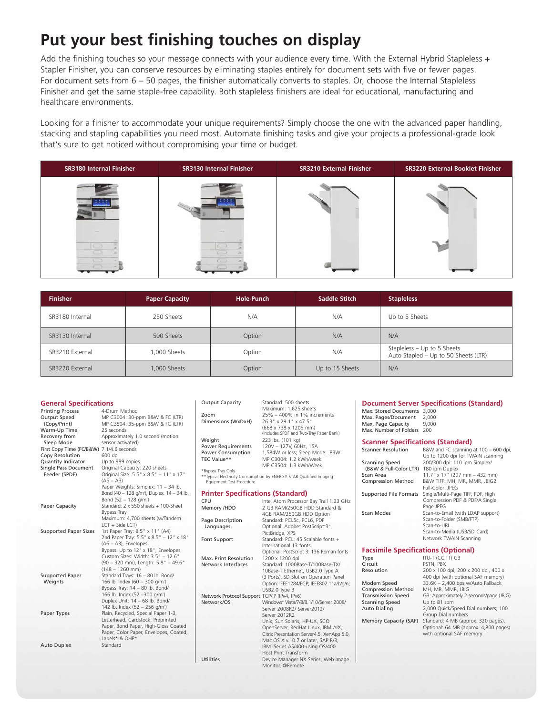### **Put your best finishing touches on display**

Add the finishing touches so your message connects with your audience every time. With the External Hybrid Stapleless + Stapler Finisher, you can conserve resources by eliminating staples entirely for document sets with five or fewer pages. For document sets from 6 – 50 pages, the finisher automatically converts to staples. Or, choose the Internal Stapleless Finisher and get the same staple-free capability. Both stapleless finishers are ideal for educational, manufacturing and healthcare environments.

Looking for a finisher to accommodate your unique requirements? Simply choose the one with the advanced paper handling, stacking and stapling capabilities you need most. Automate finishing tasks and give your projects a professional-grade look that's sure to get noticed without compromising your time or budget.



| <b>Finisher</b> | <b>Paper Capacity</b> | Hole-Punch | Saddle Stitch   | <b>Stapleless</b>                                                   |
|-----------------|-----------------------|------------|-----------------|---------------------------------------------------------------------|
| SR3180 Internal | 250 Sheets            | N/A        | N/A             | Up to 5 Sheets                                                      |
| SR3130 Internal | 500 Sheets            | Option     | N/A             | N/A                                                                 |
| SR3210 External | 1,000 Sheets          | Option     | N/A             | Stapleless - Up to 5 Sheets<br>Auto Stapled - Up to 50 Sheets (LTR) |
| SR3220 External | 1,000 Sheets          | Option     | Up to 15 Sheets | N/A                                                                 |

| <b>General Specifications</b><br><b>Printing Process</b><br>Output Speed<br>(Copy/Print)<br>Warm-Up Time                                                         | 4-Drum Method<br>MP C3004: 30-ppm B&W & FC (LTR)<br>MP C3504: 35-ppm B&W & FC (LTR)<br>25 seconds                                                                                                                     | <b>Output Capacity</b><br>Zoom<br>Dimensions (WxDxH)                                                                            | Standard: 500 sheets<br>Maximum: 1,625 sheets<br>25% - 400% in 1% increments<br>26.3" x 29.1" x 47.5"<br>(668 x 738 x 1205 mm)<br>(Includes SPDF and Two-Tray Paper Bank)                                 | Max. Stored Documents 3.000<br>Max. Pages/Document<br>Max. Page Capacity<br>Max. Number of Folders 200                                                                     | <b>Document Server Specifications (Standard)</b><br>2,000<br>9.000                                                                                                                                  |
|------------------------------------------------------------------------------------------------------------------------------------------------------------------|-----------------------------------------------------------------------------------------------------------------------------------------------------------------------------------------------------------------------|---------------------------------------------------------------------------------------------------------------------------------|-----------------------------------------------------------------------------------------------------------------------------------------------------------------------------------------------------------|----------------------------------------------------------------------------------------------------------------------------------------------------------------------------|-----------------------------------------------------------------------------------------------------------------------------------------------------------------------------------------------------|
| Recovery from<br>Sleep Mode<br>First Copy Time (FC/B&W) 7.1/4.6 seconds<br>Copy Resolution<br><b>Quantity Indicator</b><br>Single Pass Document<br>Feeder (SPDF) | Approximately 1.0 second (motion<br>sensor activated)<br>600 dpi<br>Up to 999 copies<br>Original Capacity: 220 sheets<br>Original Size: 5.5" x 8.5" - 11" x 17"<br>$(AS - A3)$<br>Paper Weights: Simplex: 11 - 34 lb. | Weight<br><b>Power Requirements</b><br><b>Power Consumption</b><br>TEC Value**<br>*Bypass Tray Only<br>Equipment Test Procedure | 223 lbs. (101 kg)<br>120V - 127V, 60Hz, 15A<br>1,584W or less; Sleep Mode: .83W<br>MP C3004: 1.2 kWh/week<br>MP C3504: 1.3 kWh/Week<br>**Typical Electricity Consumption by ENERGY STAR Qualified Imaging | <b>Scanner Specifications (Standard)</b><br><b>Scanner Resolution</b><br>Scanning Speed<br>(B&W & Full-Color LTR) 180 ipm Duplex<br>Scan Area<br><b>Compression Method</b> | B&W and FC scanning at 100 - 600 dpi,<br>Up to 1200 dpi for TWAIN scanning<br>200/300 dpi: 110 ipm Simplex/<br>$11.7$ " x 17" (297 mm - 432 mm)<br>B&W TIFF: MH, MR, MMR, JBIG2<br>Full-Color: JPEG |
| Paper Capacity                                                                                                                                                   | Bond (40 - 128 g/m <sup>2</sup> ), Duplex: 14 - 34 lb.<br>Bond (52 - 128 g/m <sup>2</sup> )<br>Standard: 2 x 550 sheets + 100-Sheet<br><b>Bypass Tray</b><br>Maximum: 4,700 sheets (w/Tandem                          | <b>Printer Specifications (Standard)</b><br>CPU<br>Memory /HDD                                                                  | Intel Atom Processor Bay Trail 1.33 GHz<br>2 GB RAM/250GB HDD Standard &<br>4GB RAM/250GB HDD Option                                                                                                      | Scan Modes                                                                                                                                                                 | Supported File Formats Single/Multi-Page TIFF, PDF, High<br>Compression PDF & PDF/A Single<br>Page JPEG<br>Scan-to-Email (with LDAP support)<br>Scan-to-Folder (SMB/FTP)                            |
| <b>Supported Paper Sizes</b>                                                                                                                                     | LCT + Side LCT)<br>1st Paper Tray: 8.5" x 11" (A4)<br>2nd Paper Tray: 5.5" x 8.5" - 12" x 18"<br>$(AG - A3)$ , Envelopes<br>Bypass: Up to 12" x 18", Envelopes                                                        | Page Description<br>Languages<br>Font Support                                                                                   | Standard: PCL5c, PCL6, PDF<br>Optional: Adobe® PostScript®3",<br>PictBridge, XPS<br>Standard: PCL: 45 Scalable fonts +<br>International 13 fonts                                                          | <b>Facsimile Specifications (Optional)</b>                                                                                                                                 | Scan-to-URL<br>Scan-to-Media (USB/SD Card)<br>Network TWAIN Scanning                                                                                                                                |
|                                                                                                                                                                  | Custom Sizes: Width: 3.5" - 12.6"<br>(90 - 320 mm), Length: 5.8" - 49.6"<br>$(148 - 1260$ mm)                                                                                                                         | Max. Print Resolution<br>Network Interfaces                                                                                     | Optional: PostScript 3: 136 Roman fonts<br>1200 x 1200 dpi<br>Standard: 1000Base-T/100Base-TX/<br>10Base-T Ethernet, USB2.0 Type A                                                                        | Type<br>Circuit<br>Resolution                                                                                                                                              | ITU-T (CCITT) G3<br>PSTN, PBX<br>200 x 100 dpi, 200 x 200 dpi, 400 x                                                                                                                                |
| <b>Supported Paper</b><br>Weights                                                                                                                                | Standard Trays: 16 - 80 lb. Bond/<br>166 lb. Index (60 - 300 g/m <sup>2</sup> )<br>Bypass Tray: 14 - 80 lb. Bond/                                                                                                     |                                                                                                                                 | (3 Ports), SD Slot on Operation Panel<br>Option: IEEE1284/ECP; IEEE802.11a/b/q/n;<br>USB2.0 Type B                                                                                                        | Modem Speed<br><b>Compression Method</b>                                                                                                                                   | 400 dpi (with optional SAF memory)<br>33.6K - 2,400 bps w/Auto Fallback<br>MH, MR, MMR, JBIG                                                                                                        |
|                                                                                                                                                                  | 166 lb. Index (52 -300 g/m <sup>2</sup> )<br>Duplex Unit: 14 - 68 lb. Bond/<br>142 lb. Index (52 - 256 g/m <sup>2</sup> )                                                                                             | Network Protocol Support TCP/IP (IPv4, IPv6)<br>Network/OS                                                                      | Windows® Vista/7/8/8.1/10/Server 2008/<br>Server 2008R2/ Server2012/                                                                                                                                      | <b>Transmission Speed</b><br><b>Scanning Speed</b><br><b>Auto Dialing</b>                                                                                                  | G3: Approximately 2 seconds/page (JBIG)<br>Up to 81 spm<br>2,000 Quick/Speed Dial numbers; 100                                                                                                      |
| Paper Types                                                                                                                                                      | Plain, Recycled, Special Paper 1-3,<br>Letterhead, Cardstock, Preprinted<br>Paper, Bond Paper, High-Gloss Coated<br>Paper, Color Paper, Envelopes, Coated,<br>Labels* & OHP*                                          |                                                                                                                                 | Server 2012R2<br>Unix; Sun Solaris, HP-UX, SCO<br>OpenServer, RedHat Linux, IBM AIX,<br>Citrix Presentation Server4.5, XenApp 5.0,<br>Mac OS X v.10.7 or later, SAP R/3,                                  | Memory Capacity (SAF)                                                                                                                                                      | Group Dial numbers<br>Standard: 4 MB (approx. 320 pages),<br>Optional: 64 MB (approx. 4,800 pages)<br>with optional SAF memory                                                                      |
| <b>Auto Duplex</b>                                                                                                                                               | Standard                                                                                                                                                                                                              | Utilities                                                                                                                       | IBM iSeries AS/400-using OS/400<br>Host Print Transform<br>Device Manager NX Series, Web Image<br>Monitor, @Remote                                                                                        |                                                                                                                                                                            |                                                                                                                                                                                                     |